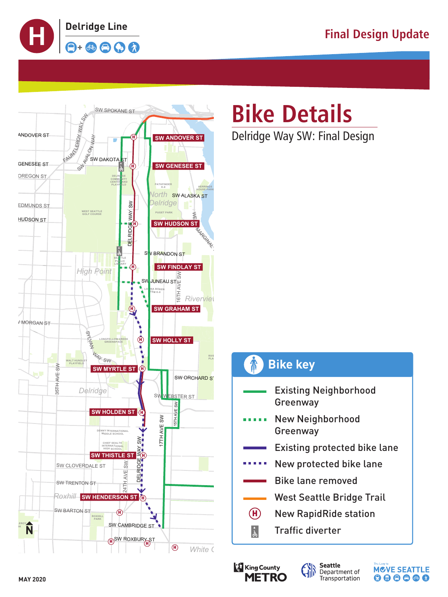











- Existing Neighborhood Greenway
- New Neighborhood . . . . . Greenway
	- Existing protected bike lane
- New protected bike lane
	- Bike lane removed
		- West Seattle Bridge Trail
- $\left( H\right)$

*Park*



- New RapidRide station
- Traffic diverter

# **Bike Details**

Delridge Way SW: Final Design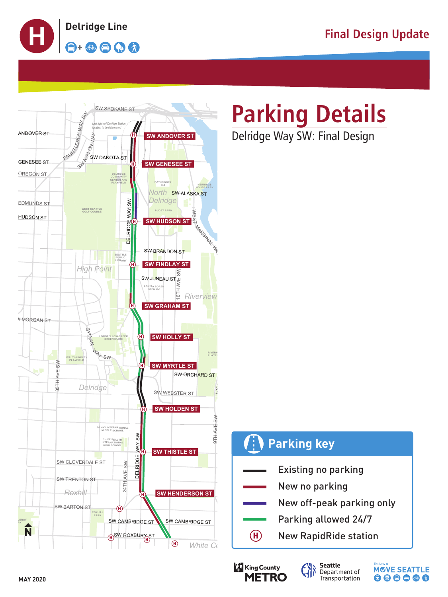











### **Parking Details** Delridge Way SW: Final Design

### **WESTCREST** *Highland Park* Existing no parking New no parking New off-peak parking only Parking allowed 24/7 New RapidRide station **Parking key**  $(H)$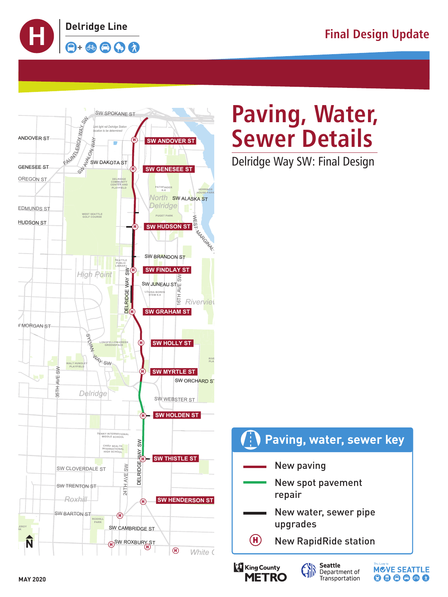









Delridge Way SW: Final Design



# Paving, Water, **Sewer Details**

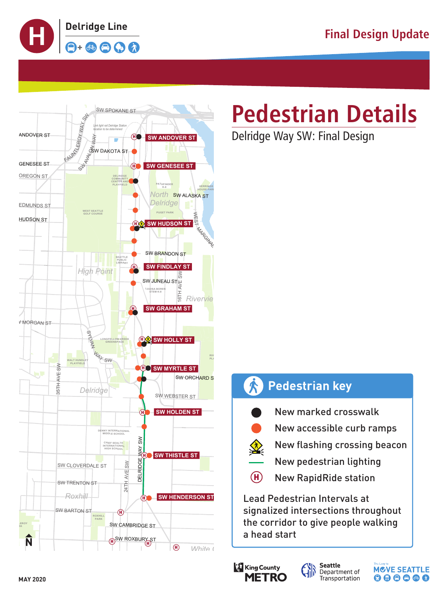









Delridge Way SW: Final Design

- New flashing crossing beacon
- New pedestrian lighting
- (H) New RapidRide station

**Lead Pedestrian Intervals at** signalized intersections throughout the corridor to give people walking a head start

### **Pedestrian key**



New marked crosswalk



New accessible curb ramps

# **Pedestrian Details**





*Park*